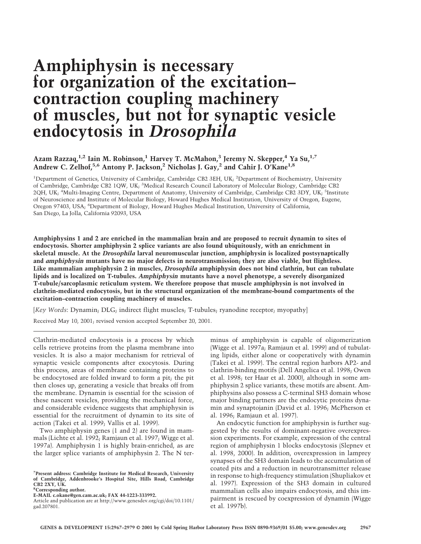# **Amphiphysin is necessary for organization of the excitation– contraction coupling machinery of muscles, but not for synaptic vesicle endocytosis in** *Drosophila*

## **Azam Razzaq,1,2 Iain M.Robinson,1 Harvey T.McMahon,3 Jeremy N.Skepper,4 Ya Su,1,7 Andrew C.Zelhof,5,6 Antony P.Jackson,2 Nicholas J.Gay,2 and Cahir J.O'Kane1,8**

<sup>1</sup>Department of Genetics, University of Cambridge, Cambridge CB2 3EH, UK; <sup>2</sup>Department of Biochemistry, University of Cambridge, Cambridge CB2 1QW, UK; <sup>3</sup>Medical Research Council Laboratory of Molecular Biology, Cambridge CB2 2QH, UK; <sup>4</sup>Multi-Imaging Centre, Department of Anatomy, University of Cambridge, Cambridge CB2 3DY, UK; <sup>5</sup>Institute of Neuroscience and Institute of Molecular Biology, Howard Hughes Medical Institution, University of Oregon, Eugene, Oregon 97403, USA; <sup>6</sup>Department of Biology, Howard Hughes Medical Institution, University of California, San Diego, La Jolla, California 92093, USA

**Amphiphysins 1 and 2 are enriched in the mammalian brain and are proposed to recruit dynamin to sites of endocytosis.Shorter amphiphysin 2 splice variants are also found ubiquitously, with an enrichment in skeletal muscle.At the** *Drosophila* **larval neuromuscular junction, amphiphysin is localized postsynaptically and** *amphiphysin* **mutants have no major defects in neurotransmission; they are also viable, but flightless. Like mammalian amphiphysin 2 in muscles,** *Drosophila* **amphiphysin does not bind clathrin, but can tubulate lipids and is localized on T-tubules.** *Amphiphysin* **mutants have a novel phenotype, a severely disorganized T-tubule/sarcoplasmic reticulum system.We therefore propose that muscle amphiphysin is not involved in clathrin-mediated endocytosis, but in the structural organization of the membrane-bound compartments of the excitation–contraction coupling machinery of muscles.**

[*Key Words*: Dynamin; DLG; indirect flight muscles; T-tubules; ryanodine receptor; myopathy]

Received May 10, 2001; revised version accepted September 20, 2001.

Clathrin-mediated endocytosis is a process by which cells retrieve proteins from the plasma membrane into vesicles. It is also a major mechanism for retrieval of synaptic vesicle components after exocytosis. During this process, areas of membrane containing proteins to be endocytosed are folded inward to form a pit; the pit then closes up, generating a vesicle that breaks off from the membrane. Dynamin is essential for the scission of these nascent vesicles, providing the mechanical force, and considerable evidence suggests that amphiphysin is essential for the recruitment of dynamin to its site of action (Takei et al. 1999; Vallis et al. 1999).

Two amphiphysin genes (1 and 2) are found in mammals (Lichte et al. 1992; Ramjaun et al. 1997; Wigge et al. 1997a). Amphiphysin 1 is highly brain-enriched, as are the larger splice variants of amphiphysin 2. The N ter-

**8 Corresponding author.**

**E-MAIL c.okane@gen.cam.ac.uk; FAX 44-1223-333992.**

minus of amphiphysin is capable of oligomerization (Wigge et al. 1997a; Ramjaun et al. 1999) and of tubulating lipids, either alone or cooperatively with dynamin (Takei et al. 1999). The central region harbors AP2- and clathrin-binding motifs (Dell Angelica et al. 1998; Owen et al. 1998; ter Haar et al. 2000), although in some amphiphysin 2 splice variants, these motifs are absent. Amphiphysins also possess a C-terminal SH3 domain whose major binding partners are the endocytic proteins dynamin and synaptojanin (David et al. 1996; McPherson et al. 1996; Ramjaun et al. 1997).

An endocytic function for amphiphysin is further suggested by the results of dominant-negative overexpression experiments. For example, expression of the central region of amphiphysin 1 blocks endocytosis (Slepnev et al. 1998, 2000). In addition, overexpression in lamprey synapses of the SH3 domain leads to the accumulation of coated pits and a reduction in neurotransmitter release in response to high-frequency stimulation (Shupliakov et al. 1997). Expression of the SH3 domain in cultured mammalian cells also impairs endocytosis, and this impairment is rescued by coexpression of dynamin (Wigge et al. 1997b).

**<sup>7</sup> Present address: Cambridge Institute for Medical Research, University of Cambridge, Addenbrooke's Hospital Site, Hills Road, Cambridge CB2 2XY, UK.**

Article and publication are at http://www.genesdev.org/cgi/doi/10.1101/ gad.207801.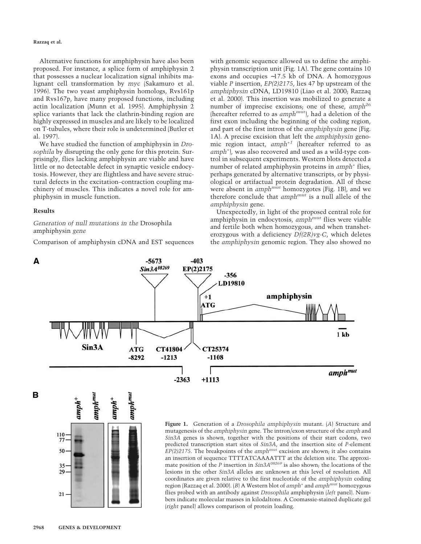## **Razzaq et al.**

Alternative functions for amphiphysin have also been proposed. For instance, a splice form of amphiphysin 2 that possesses a nuclear localization signal inhibits malignant cell transformation by *myc* (Sakamuro et al. 1996). The two yeast amphiphysin homologs, Rvs161p and Rvs167p, have many proposed functions, including actin localization (Munn et al. 1995). Amphiphysin 2 splice variants that lack the clathrin-binding region are highly expressed in muscles and are likely to be localized on T-tubules, where their role is undetermined (Butler et al. 1997).

We have studied the function of amphiphysin in *Drosophila* by disrupting the only gene for this protein. Surprisingly, flies lacking amphiphysin are viable and have little or no detectable defect in synaptic vesicle endocytosis. However, they are flightless and have severe structural defects in the excitation–contraction coupling machinery of muscles. This indicates a novel role for amphiphysin in muscle function.

## **Results**

*Generation of null mutations in the* Drosophila amphiphysin *gene*

Comparison of amphiphysin cDNA and EST sequences

with genomic sequence allowed us to define the amphiphysin transcription unit (Fig. 1A). The gene contains 10 exons and occupies ∼17.5 kb of DNA. A homozygous viable *P* insertion, *EP(2)2175*, lies 47 bp upstream of the *amphiphysin* cDNA, LD19810 (Liao et al. 2000; Razzaq et al. 2000). This insertion was mobilized to generate a number of imprecise excisions; one of these, *amph26* (hereafter referred to as *amphmut*), had a deletion of the first exon including the beginning of the coding region, and part of the first intron of the *amphiphysin* gene (Fig. 1A). A precise excision that left the *amphiphysin* genomic region intact, *amph*+*<sup>1</sup>* (hereafter referred to as *amph*<sup>+</sup> ), was also recovered and used as a wild-type control in subsequent experiments. Western blots detected a number of related amphiphysin proteins in *amph*<sup>+</sup> flies, perhaps generated by alternative transcripts, or by physiological or artifactual protein degradation. All of these were absent in *amphmut* homozygotes (Fig. 1B), and we therefore conclude that *amphmut* is a null allele of the *amphiphysin* gene.

Unexpectedly, in light of the proposed central role for amphiphysin in endocytosis, *amphmut* flies were viable and fertile both when homozygous, and when transheterozygous with a deficiency *Df(2R)vg-C*, which deletes the *amphiphysin* genomic region. They also showed no



в



**Figure 1.** Generation of a *Drosophila amphiphysin* mutant. (*A*) Structure and mutagenesis of the *amphiphysin* gene. The intron/exon structure of the *amph* and *Sin3A* genes is shown, together with the positions of their start codons, two predicted transcription start sites of *Sin3A*, and the insertion site of *P*-element *EP(2)2175*. The breakpoints of the *amphmut* excision are shown; it also contains an insertion of sequence TTTTATCAAAATTT at the deletion site. The approximate position of the *P* insertion in *Sin3A<sup>08269</sup>* is also shown; the locations of the lesions in the other *Sin3A* alleles are unknown at this level of resolution. All coordinates are given relative to the first nucleotide of the *amphiphysin* coding region (Razzaq et al. 2000). (*B*) A Western blot of *amph*<sup>+</sup> and *amphmut* homozygous flies probed with an antibody against *Drosophila* amphiphysin (*left* panel). Numbers indicate molecular masses in kilodaltons. A Coomassie-stained duplicate gel (*right* panel) allows comparison of protein loading.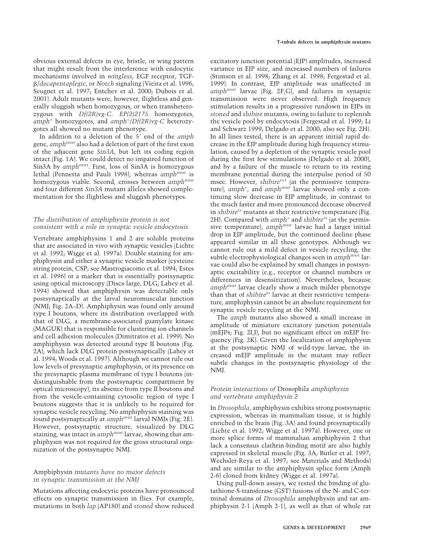obvious external defects in eye, bristle, or wing pattern that might result from the interference with endocytic mechanisms involved in *wingless*, EGF receptor, TGF- /*decapentaplegic*, or *Notch* signaling (Vieira et al. 1996; Seugnet et al. 1997; Entchev et al. 2000; Dubois et al. 2001). Adult mutants were, however, flightless and generally sluggish when homozygous, or when transheterozygous with *Df(2R)vg-C*. *EP(2)2175* homozygotes, *amph*<sup>+</sup> homozygotes, and *amph*<sup>+</sup> /*Df(2R)vg-C* heterozygotes all showed no mutant phenotype.

In addition to a deletion of the 5' end of the *amph* gene, *amphmut* also had a deletion of part of the first exon of the adjacent gene *Sin3A*, but left its coding region intact (Fig. 1A). We could detect no impaired function of Sin3A by *amphmut*. First, loss of Sin3A is homozygous lethal (Pennetta and Pauli 1998), whereas *amphmut* is homozygous viable. Second, crosses between *amphmut* and four different *Sin3A* mutant alleles showed complementation for the flightless and sluggish phenotypes.

## *The distribution of amphiphysin protein is not consistent with a role in synaptic vesicle endocytosis*

Vertebrate amphiphysins 1 and 2 are soluble proteins that are associated in vivo with synaptic vesicles (Lichte et al. 1992; Wigge et al. 1997a). Double staining for amphiphysin and either a synaptic vesicle marker (cysteine string protein, CSP; see Mastrogiacomo et al. 1994; Estes et al. 1996) or a marker that is essentially postsynaptic using optical microscopy (Discs-large, DLG; Lahey et al. 1994) showed that amphiphysin was detectable only postsynaptically at the larval neuromuscular junction (NMJ; Fig. 2A–D). Amphiphysin was found only around type I boutons, where its distribution overlapped with that of DLG, a membrane-associated guanylate kinase (MAGUK) that is responsible for clustering ion channels and cell adhesion molecules (Dimitratos et al. 1999). No amphiphysin was detected around type II boutons (Fig. 2A), which lack DLG protein postsynaptically (Lahey et al. 1994; Woods et al. 1997). Although we cannot rule out low levels of presynaptic amphiphysin, or its presence on the presynaptic plasma membrane of type I boutons (indistinguishable from the postsynaptic compartment by optical microscopy), its absence from type II boutons and from the vesicle-containing cytosolic region of type I boutons suggests that it is unlikely to be required for synaptic vesicle recycling. No amphiphysin staining was found postsynaptically at *amphmut* larval NMJs (Fig. 2E). However, postsynaptic structure, visualized by DLG staining, was intact in *amphmut* larvae, showing that amphiphysin was not required for the gross structural organization of the postsynaptic NMJ.

## Amphiphysin *mutants have no major defects in synaptic transmission at the NMJ*

Mutations affecting endocytic proteins have pronounced effects on synaptic transmission in flies. For example, mutations in both *lap* (AP180) and *stoned* show reduced

excitatory junction potential (EJP) amplitudes, increased variance in EJP size, and increased numbers of failures (Stimson et al. 1998; Zhang et al. 1998; Fergestad et al. 1999). In contrast, EJP amplitude was unaffected in *amphmut* larvae (Fig. 2F,G), and failures in synaptic transmission were never observed. High frequency stimulation results in a progressive rundown in EJPs in *stoned* and *shibire* mutants, owing to failure to replenish the vesicle pool by endocytosis (Fergestad et al. 1999; Li and Schwarz 1999; Delgado et al. 2000; also see Fig. 2H). In all lines tested, there is an apparent initial rapid decrease in the EJP amplitude during high frequency stimulation, caused by a depletion of the synaptic vesicle pool during the first few stimulations (Delgado et al. 2000), and by a failure of the muscle to return to its resting membrane potential during the interpulse period of 50 msec. However, *shibire<sup>ts1</sup>* (at the permissive temperature), amph<sup>+</sup>, and amph<sup>mut</sup> larvae showed only a continuing slow decrease in EJP amplitude, in contrast to the much faster and more pronounced decrease observed in *shibire<sup>ts</sup>* mutants at their restrictive temperature (Fig. 2H). Compared with *amph*<sup>+</sup> and *shibire<sup>ts</sup>* (at the permissive temperature), *amphmut* larvae had a larger initial drop in EJP amplitude, but the continued decline phase appeared similar in all these genotypes. Although we cannot rule out a mild defect in vesicle recycling, the subtle electrophysiological changes seen in *amphmut* larvae could also be explained by small changes in postsynaptic excitability (e.g., receptor or channel numbers or differences in desensitization). Nevertheless, because *amphmut* larvae clearly show a much milder phenotype than that of *shibire<sup>ts</sup>* larvae at their restrictive temperature, amphiphysin cannot be an absolute requirement for synaptic vesicle recycling at the NMJ.

The *amph* mutants also showed a small increase in amplitude of miniature excitatory junction potentials (mEJPs; Fig. 2I,J), but no significant effect on mEJP frequency (Fig. 2K). Given the localization of amphiphysin at the postsynaptic NMJ of wild-type larvae, the increased mEJP amplitude in the mutant may reflect subtle changes in the postsynaptic physiology of the NMJ.

## *Protein interactions of* Drosophila *amphiphysin and vertebrate amphiphysin 2*

In *Drosophila*, amphiphysin exhibits strong postsynaptic expression, whereas in mammalian tissue, it is highly enriched in the brain (Fig. 3A) and found presynaptically (Lichte et al. 1992; Wigge et al. 1997a). However, one or more splice forms of mammalian amphiphysin 2 that lack a consensus clathrin-binding motif are also highly expressed in skeletal muscle (Fig. 3A; Butler et al. 1997; Wechsler-Reya et al. 1997; see Materials and Methods) and are similar to the amphiphysin splice form (Amph 2-6) cloned from kidney (Wigge et al. 1997a).

Using pull-down assays, we tested the binding of glutathione-S-transferase (GST) fusions of the N- and C-terminal domains of *Drosophila* amphiphysin and rat amphiphysin 2-1 (Amph 2-1), as well as that of whole rat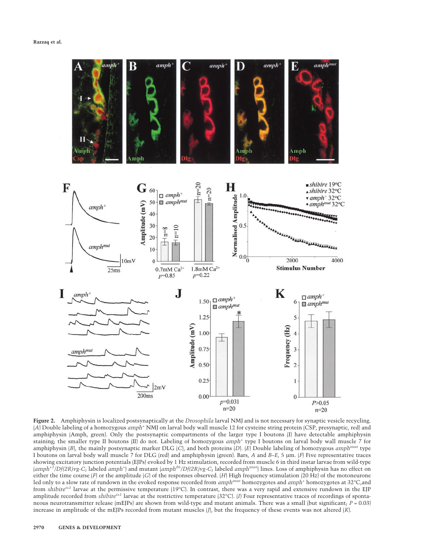

**Figure 2.** Amphiphysin is localized postsynaptically at the *Drosophila* larval NMJ and is not necessary for synaptic vesicle recycling. (*A*) Double labeling of a homozygous *amph*<sup>+</sup> NMJ on larval body wall muscle 12 for cysteine string protein (CSP, presynaptic, red) and amphiphysin (Amph, green). Only the postsynaptic compartments of the larger type I boutons (I) have detectable amphiphysin staining; the smaller type II boutons (II) do not. Labeling of homozygous *amph*<sup>+</sup> type I boutons on larval body wall muscle 7 for amphiphysin (*B*), the mainly postsynaptic marker DLG (*C*), and both proteins (*D*). (*E*) Double labeling of homozygous *amphmut* type I boutons on larval body wall muscle 7 for DLG (red) and amphiphysin (green). Bars, *A* and *B–E*, 5 µm. (*F*) Five representative traces showing excitatory junction potentials (EJPs) evoked by 1 Hz stimulation, recorded from muscle 6 in third instar larvae from wild-type (*amph*+*<sup>1</sup> /Df(2R)vg-C*; labeled *amph*<sup>+</sup> ) and mutant (*amph26/Df(2R)vg-C*; labeled *amphmut*) lines. Loss of amphiphysin has no effect on either the time course (*F*) or the amplitude (*G*) of the responses observed. (*H*) High frequency stimulation (20 Hz) of the motoneurone led only to a slow rate of rundown in the evoked response recorded from *amphmut* homozygotes and *amph*<sup>+</sup> homozygotes at 32°C,and from *shibirets1* larvae at the permissive temperature (19°C). In contrast, there was a very rapid and extensive rundown in the EJP amplitude recorded from *shibirets1* larvae at the restrictive temperature (32°C). (*I*) Four representative traces of recordings of spontaneous neurotransmitter release (mEJPs) are shown from wild-type and mutant animals. There was a small (but significant; *P* = 0.03) increase in amplitude of the mEJPs recorded from mutant muscles (*J*), but the frequency of these events was not altered (*K*).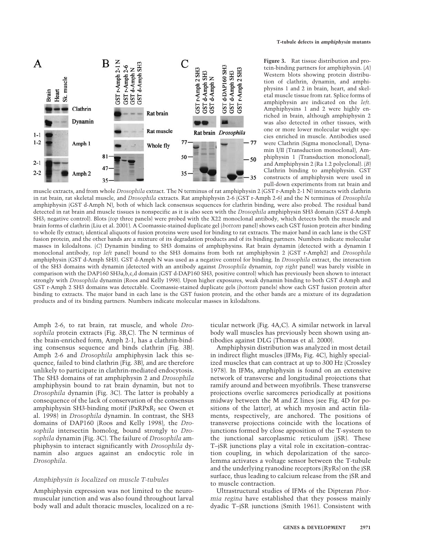

**Figure 3.** Rat tissue distribution and protein-binding partners for amphiphysin. (*A*) Western blots showing protein distribution of clathrin, dynamin, and amphiphysins 1 and 2 in brain, heart, and skeletal muscle tissue from rat. Splice forms of amphiphysin are indicated on the *left.* Amphiphysins 1 and 2 were highly enriched in brain, although amphiphysin 2 was also detected in other tissues, with one or more lower molecular weight species enriched in muscle. Antibodies used were Clathrin (Sigma monoclonal), Dynamin I/II (Transduction monoclonal), Amphiphysin 1 (Transduction monoclonal), and Amphiphysin 2 (Ra 1.2 polyclonal). (*B*) Clathrin binding to amphiphysin. GST constructs of amphiphysin were used in pull-down experiments from rat brain and

muscle extracts, and from whole *Drosophila* extract. The N terminus of rat amphiphysin 2 (GST r-Amph 2-1 N) interacts with clathrin in rat brain, rat skeletal muscle, and *Drosophila* extracts. Rat amphiphysin 2-6 (GST r-Amph 2-6) and the N terminus of *Drosophila* amphiphysin (GST d-Amph N), both of which lack consensus sequences for clathrin binding, were also probed. The residual band detected in rat brain and muscle tissues is nonspecific as it is also seen with the *Drosophila* amphiphysin SH3 domain (GST d-Amph SH3; negative control). Blots (*top* three panels) were probed with the X22 monoclonal antibody, which detects both the muscle and brain forms of clathrin (Liu et al. 2001). A Coomassie-stained duplicate gel (*bottom* panel) shows each GST fusion protein after binding to whole fly extract; identical aliquots of fusion proteins were used for binding to rat extracts. The major band in each lane is the GST fusion protein, and the other bands are a mixture of its degradation products and of its binding partners. Numbers indicate molecular masses in kilodaltons. (*C*) Dynamin binding to SH3 domains of amphiphysins. Rat brain dynamin (detected with a dynamin I monoclonal antibody, *top left* panel) bound to the SH3 domains from both rat amphiphysin 2 (GST r-Amph2) and *Drosophila* amphiphysin (GST d-Amph SH3). GST d-Amph N was used as a negative control for binding. In *Drosophila* extract, the interaction of the SH3 domains with dynamin (detected with an antibody against *Drosophila* dynamin, *top right* panel) was barely visible in comparison with the DAP160 SH3a,b,c,d domain (GST d-DAP160 SH3, positive control) which has previously been shown to interact strongly with *Drosophila* dynamin (Roos and Kelly 1998). Upon higher exposures, weak dynamin binding to both GST d-Amph and GST r-Amph 2 SH3 domains was detectable. Coomassie-stained duplicate gels (*bottom* panels) show each GST fusion protein after binding to extracts. The major band in each lane is the GST fusion protein, and the other bands are a mixture of its degradation products and of its binding partners. Numbers indicate molecular masses in kilodaltons.

Amph 2-6, to rat brain, rat muscle, and whole *Drosophila* protein extracts (Fig. 3B,C). The N terminus of the brain-enriched form, Amph 2-1, has a clathrin-binding consensus sequence and binds clathrin (Fig. 3B). Amph 2-6 and *Drosophila* amphiphysin lack this sequence, failed to bind clathrin (Fig. 3B), and are therefore unlikely to participate in clathrin-mediated endocytosis. The SH3 domains of rat amphiphysin 2 and *Drosophila* amphiphysin bound to rat brain dynamin, but not to *Drosophila* dynamin (Fig. 3C). The latter is probably a consequence of the lack of conservation of the consensus amphiphysin SH3-binding motif (PxRPxR; see Owen et al. 1998) in *Drosophila* dynamin. In contrast, the SH3 domains of DAP160 (Roos and Kelly 1998), the *Drosophila* intersectin homolog, bound strongly to *Drosophila* dynamin (Fig. 3C). The failure of *Drosophila* amphiphysin to interact significantly with *Drosophila* dynamin also argues against an endocytic role in *Drosophila*.

## *Amphiphysin is localized on muscle T-tubules*

Amphiphysin expression was not limited to the neuromuscular junction and was also found throughout larval body wall and adult thoracic muscles, localized on a reticular network (Fig. 4A,C). A similar network in larval body wall muscles has previously been shown using antibodies against DLG (Thomas et al. 2000).

Amphiphysin distribution was analyzed in most detail in indirect flight muscles (IFMs; Fig. 4C), highly specialized muscles that can contract at up to 300 Hz (Crossley 1978). In IFMs, amphiphysin is found on an extensive network of transverse and longitudinal projections that ramify around and between myofibrils. These transverse projections overlie sarcomeres periodically at positions midway between the M and Z lines (see Fig. 4D for positions of the latter), at which myosin and actin filaments, respectively, are anchored. The positions of transverse projections coincide with the locations of junctions formed by close apposition of the T-system to the junctional sarcoplasmic reticulum (jSR). These T–jSR junctions play a vital role in excitation–contraction coupling, in which depolarization of the sarcolemma activates a voltage sensor between the T-tubule and the underlying ryanodine receptors (RyRs) on the jSR surface, thus leading to calcium release from the jSR and to muscle contraction.

Ultrastructural studies of IFMs of the Dipteran *Phormia regina* have established that they possess mainly dyadic T–jSR junctions (Smith 1961). Consistent with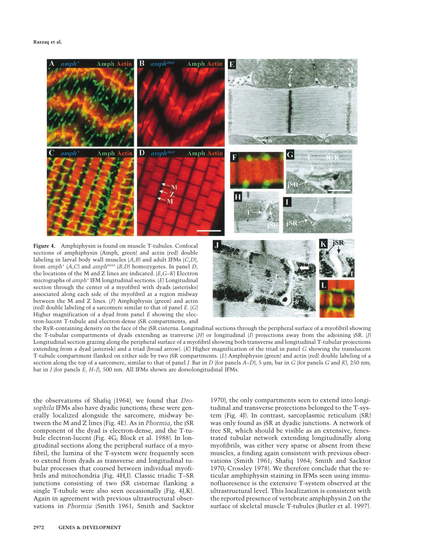

from  $amph$ <sup>+</sup>  $(A, C)$  and  $amph<sup>mut</sup>$   $(B, D)$  homozygotes. In panel *D*, the locations of the M and Z lines are indicated. (*E*,*G*–*K*) Electron micrographs of *amph*<sup>+</sup> IFM longitudinal sections. (*E*) Longitudinal section through the center of a myofibril with dyads (asterisks) associated along each side of the myofibril at a region midway between the M and Z lines. (*F*) Amphiphysin (green) and actin (red) double labeling of a sarcomere similar to that of panel *E*. (*G*) Higher magnification of a dyad from panel *E* showing the electron-lucent T-tubule and electron-dense jSR compartments, and

the RyR-containing density on the face of the jSR cisterna. Longitudinal sections through the peripheral surface of a myofibril showing the T-tubular compartments of dyads extending as tranverse (*H*) or longitudinal (*I*) projections away from the adjoining jSR. (*J*) Longitudinal section grazing along the peripheral surface of a myofibril showing both transverse and longitudinal T-tubular projections extending from a dyad (asterisk) and a triad (broad arrow). (*K*) Higher magnification of the triad in panel *G* showing the translucent T-tubule compartment flanked on either side by two jSR compartments. (*L*) Amphiphysin (green) and actin (red) double labeling of a section along the top of a sarcomere, similar to that of panel *J*. Bar in *D* (for panels *A*–*D*), 5 µm; bar in *G* (for panels *G* and *K*), 250 nm; bar in *J* (for panels *E*, *H*–*J*), 500 nm. All IFMs shown are dorsolongitudinal IFMs.

the observations of Shafiq (1964), we found that *Drosophila* IFMs also have dyadic junctions; these were generally localized alongside the sarcomere, midway between the M and Z lines (Fig. 4E). As in *Phormia*, the jSR component of the dyad is electron-dense, and the T-tubule electron-lucent (Fig. 4G; Block et al. 1988). In longitudinal sections along the peripheral surface of a myofibril, the lumina of the T-system were frequently seen to extend from dyads as transverse and longitudinal tubular processes that coursed between individual myofibrils and mitochondria (Fig. 4H,I). Classic triadic T–SR junctions consisting of two jSR cisternae flanking a single T-tubule were also seen occasionally (Fig. 4J,K). Again in agreement with previous ultrastructural observations in *Phormia* (Smith 1961; Smith and Sacktor 1970), the only compartments seen to extend into longitudinal and transverse projections belonged to the T-system (Fig. 4J). In contrast, sarcoplasmic reticulum (SR) was only found as jSR at dyadic junctions. A network of free SR, which should be visible as an extensive, fenestrated tubular network extending longitudinally along myofibrils, was either very sparse or absent from these muscles, a finding again consistent with previous observations (Smith 1961; Shafiq 1964; Smith and Sacktor 1970; Crossley 1978). We therefore conclude that the reticular amphiphysin staining in IFMs seen using immunofluoresence is the extensive T-system observed at the ultrastructural level. This localization is consistent with the reported presence of vertebrate amphiphysin 2 on the surface of skeletal muscle T-tubules (Butler et al. 1997).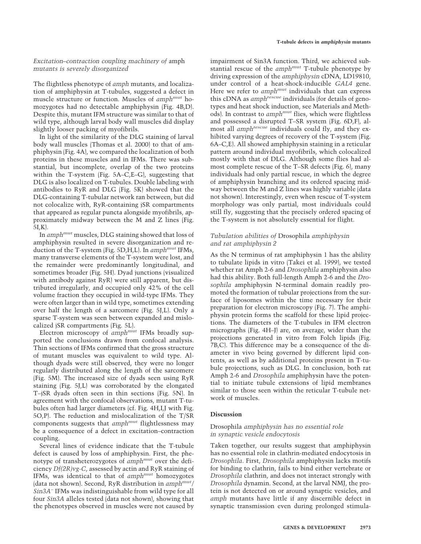## *Excitation–contraction coupling machinery of* amph *mutants is severely disorganized*

The flightless phenotype of *amph* mutants, and localization of amphiphysin at T-tubules, suggested a defect in muscle structure or function. Muscles of *amphmut* homozygotes had no detectable amphiphysin (Fig. 4B,D). Despite this, mutant IFM structure was similar to that of wild type, although larval body wall muscles did display slightly looser packing of myofibrils.

In light of the similarity of the DLG staining of larval body wall muscles (Thomas et al. 2000) to that of amphiphysin (Fig. 4A), we compared the localization of both proteins in these muscles and in IFMs. There was substantial, but incomplete, overlap of the two proteins within the T-system (Fig. 5A–C,E–G), suggesting that DLG is also localized on T-tubules. Double labeling with antibodies to RyR and DLG (Fig. 5K) showed that the DLG-containing T-tubular network ran between, but did not colocalize with, RyR-containing jSR compartments that appeared as regular puncta alongside myofibrils, approximately midway between the M and Z lines (Fig. 5I,K).

In *amphmut* muscles, DLG staining showed that loss of amphiphysin resulted in severe disorganization and reduction of the T-system (Fig. 5D,H,L). In *amphmut* IFMs, many transverse elements of the T-system were lost, and the remainder were predominantly longitudinal, and sometimes broader (Fig. 5H). Dyad junctions (visualized with antibody against RyR) were still apparent, but distributed irregularly, and occupied only 42% of the cell volume fraction they occupied in wild-type IFMs. They were often larger than in wild type, sometimes extending over half the length of a sarcomere (Fig. 5J,L). Only a sparse T-system was seen between expanded and mislocalized jSR compartments (Fig. 5L).

Electron microscopy of *amphmut* IFMs broadly supported the conclusions drawn from confocal analysis. Thin sections of IFMs confirmed that the gross structure of mutant muscles was equivalent to wild type. Although dyads were still observed, they were no longer regularly distributed along the length of the sarcomere (Fig. 5M). The increased size of dyads seen using RyR staining (Fig. 5J,L) was corroborated by the elongated T–jSR dyads often seen in thin sections (Fig. 5N). In agreement with the confocal observations, mutant T-tubules often had larger diameters (cf. Fig. 4H,I,J with Fig. 5O,P). The reduction and mislocalization of the T/SR components suggests that *amphmut* flightlessness may be a consequence of a defect in excitation–contraction coupling.

Several lines of evidence indicate that the T-tubule defect is caused by loss of amphiphysin. First, the phenotype of transheterozygotes of *amphmut* over the deficiency *Df(2R)vg-C*, assessed by actin and RyR staining of IFMs, was identical to that of *amphmut* homozygotes (data not shown). Second, RyR distribution in *amphmut/ Sin3A*<sup>−</sup> IFMs was indistinguishable from wild type for all four *Sin3A* alleles tested (data not shown), showing that the phenotypes observed in muscles were not caused by

impairment of Sin3A function. Third, we achieved substantial rescue of the *amphmut* T-tubule phenotype by driving expression of the *amphiphysin* cDNA, LD19810, under control of a heat-shock-inducible *GAL4* gene. Here we refer to *amph<sup>mut</sup>* individuals that can express this cDNA as *amphrescue* individuals (for details of genotypes and heat shock induction, see Materials and Methods). In contrast to *amphmut* flies, which were flightless and possessed a disrupted T–SR system (Fig. 6D,F), almost all *amphrescue* individuals could fly, and they exhibited varying degrees of recovery of the T-system (Fig. 6A–C,E). All showed amphiphysin staining in a reticular pattern around individual myofibrils, which colocalized mostly with that of DLG. Although some flies had almost complete rescue of the T–SR defects (Fig. 6), many individuals had only partial rescue, in which the degree of amphiphysin branching and its ordered spacing midway between the M and Z lines was highly variable (data not shown). Interestingly, even when rescue of T-system morphology was only partial, most individuals could still fly, suggesting that the precisely ordered spacing of the T-system is not absolutely essential for flight.

## *Tubulation abilities of* Drosophila *amphiphysin and rat amphiphysin 2*

As the N terminus of rat amphiphysin 1 has the ability to tubulate lipids in vitro (Takei et al. 1999), we tested whether rat Amph 2-6 and *Drosophila* amphiphysin also had this ability. Both full-length Amph 2-6 and the *Drosophila* amphiphysin N-terminal domain readily promoted the formation of tubular projections from the surface of liposomes within the time necessary for their preparation for electron microscopy (Fig. 7). The amphiphysin protein forms the scaffold for these lipid projections. The diameters of the T-tubules in IFM electron micrographs (Fig. 4H–J) are, on average, wider than the projections generated in vitro from Folch lipids (Fig. 7B,C). This difference may be a consequence of the diameter in vivo being governed by different lipid contents, as well as by additional proteins present in T-tubule projections, such as DLG. In conclusion, both rat Amph 2-6 and *Drosophila* amphiphysin have the potential to initiate tubule extensions of lipid membranes similar to those seen within the reticular T-tubule network of muscles.

## **Discussion**

## Drosophila *amphiphysin has no essential role in synaptic vesicle endocytosis*

Taken together, our results suggest that amphiphysin has no essential role in clathrin-mediated endocytosis in *Drosophila*. First, *Drosophila* amphiphysin lacks motifs for binding to clathrin, fails to bind either vertebrate or *Drosophila* clathrin, and does not interact strongly with *Drosophila* dynamin. Second, at the larval NMJ, the protein is not detected on or around synaptic vesicles, and *amph* mutants have little if any discernible defect in synaptic transmission even during prolonged stimula-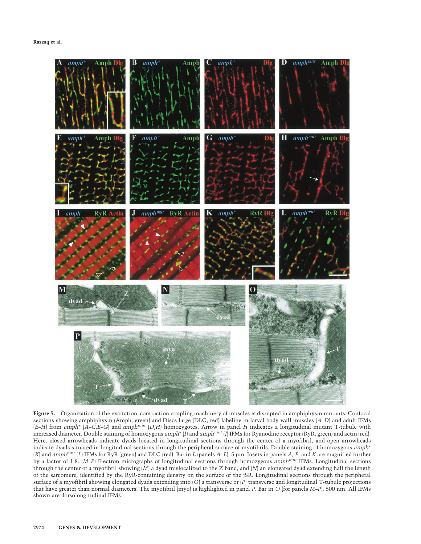

**Figure 5.** Organization of the excitation–contraction coupling machinery of muscles is disrupted in amphiphysin mutants. Confocal sections showing amphiphysin (Amph, green) and Discs-large (DLG, red) labeling in larval body wall muscles (*A*–*D*) and adult IFMs  $(E-H)$  from *amph<sup>+</sup>*  $(A-C,E-C)$  and *amph<sup>mut</sup>* (*D,H*) homozygotes. Arrow in panel *H* indicates a longitudinal mutant T-tubule with increased diameter. Double staining of homozygous *amph*<sup>+</sup> (*I*) and *amphmut* (*J*) IFMs for Ryanodine receptor (RyR, green) and actin (red). Here, closed arrowheads indicate dyads located in longitudinal sections through the center of a myofibril, and open arrowheads indicate dyads situated in longitudinal sections through the peripheral surface of myofibrils. Double staining of homozygous *amph<sup>+</sup>* (*K*) and *amphmut* (*L*) IFMs for RyR (green) and DLG (red). Bar in *L* (panels *A*–*L*), 5 µm. Insets in panels *A*, *E*, and *K* are magnified further by a factor of 1.8. (*M*–*P*) Electron micrographs of longitudinal sections through homozygous *amphmut* IFMs. Longitudinal sections through the center of a myofibril showing (*M*) a dyad mislocalized to the Z band, and (*N*) an elongated dyad extending half the length of the sarcomere, identified by the RyR-containing density on the surface of the jSR. Longitudinal sections through the peripheral surface of a myofibril showing elongated dyads extending into (*O*) a transverse or (*P*) transverse and longitudinal T-tubule projections that have greater than normal diameters. The myofibril (myo) is highlighted in panel *P*. Bar in *O* (for panels *M*–*P*), 500 nm. All IFMs shown are dorsolongitudinal IFMs.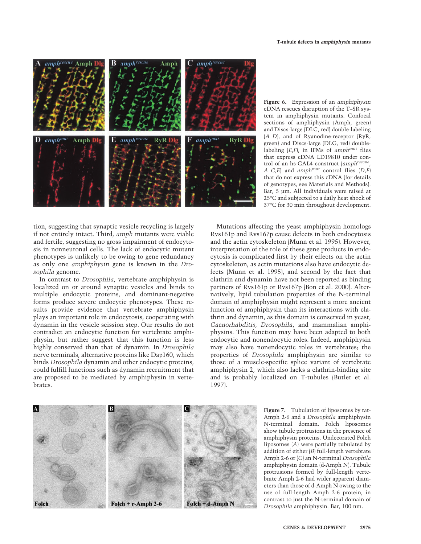

**Figure 6.** Expression of an *amphiphysin* cDNA rescues disruption of the T–SR system in amphiphysin mutants. Confocal sections of amphiphysin (Amph, green) and Discs-large (DLG, red) double-labeling (*A*–*D*), and of Ryanodine-receptor (RyR, green) and Discs-large (DLG, red) doublelabeling (*E*,*F*), in IFMs of *amphmut* flies that express cDNA LD19810 under control of an hs-GAL4 construct (*amphrescue*,  $A - C$ *,E*) and *amph<sup>mut</sup>* control flies  $(D, F)$ that do not express this cDNA (for details of genotypes, see Materials and Methods). Bar, 5 µm. All individuals were raised at 25°C and subjected to a daily heat shock of 37°C for 30 min throughout development.

tion, suggesting that synaptic vesicle recycling is largely if not entirely intact. Third, *amph* mutants were viable and fertile, suggesting no gross impairment of endocytosis in nonneuronal cells. The lack of endocytic mutant phenotypes is unlikely to be owing to gene redundancy as only one *amphiphysin* gene is known in the *Drosophila* genome.

In contrast to *Drosophila*, vertebrate amphiphysin is localized on or around synaptic vesicles and binds to multiple endocytic proteins, and dominant-negative forms produce severe endocytic phenotypes. These results provide evidence that vertebrate amphiphysin plays an important role in endocytosis, cooperating with dynamin in the vesicle scission step. Our results do not contradict an endocytic function for vertebrate amphiphysin, but rather suggest that this function is less highly conserved than that of dynamin. In *Drosophila* nerve terminals, alternative proteins like Dap160, which binds *Drosophila* dynamin and other endocytic proteins, could fulfill functions such as dynamin recruitment that are proposed to be mediated by amphiphysin in vertebrates.

Mutations affecting the yeast amphiphysin homologs Rvs161p and Rvs167p cause defects in both endocytosis and the actin cytoskeleton (Munn et al. 1995). However, interpretation of the role of these gene products in endocytosis is complicated first by their effects on the actin cytoskeleton, as actin mutations also have endocytic defects (Munn et al. 1995), and second by the fact that clathrin and dynamin have not been reported as binding partners of Rvs161p or Rvs167p (Bon et al. 2000). Alternatively, lipid tubulation properties of the N-terminal domain of amphiphysin might represent a more ancient function of amphiphysin than its interactions with clathrin and dynamin, as this domain is conserved in yeast, *Caenorhabditis*, *Drosophila*, and mammalian amphiphysins. This function may have been adapted to both endocytic and nonendocytic roles. Indeed, amphiphysin may also have nonendocytic roles in vertebrates; the properties of *Drosophila* amphiphysin are similar to those of a muscle-specific splice variant of vertebrate amphiphysin 2, which also lacks a clathrin-binding site and is probably localized on T-tubules (Butler et al. 1997).



**Figure 7.** Tubulation of liposomes by rat-Amph 2-6 and a *Drosophila* amphiphysin N-terminal domain. Folch liposomes show tubule protrusions in the presence of amphiphysin proteins. Undecorated Folch liposomes (*A*) were partially tubulated by addition of either (*B*) full-length vertebrate Amph 2-6 or (*C*) an N-terminal *Drosophila* amphiphysin domain (d-Amph N). Tubule protrusions formed by full-length vertebrate Amph 2-6 had wider apparent diameters than those of d-Amph N owing to the use of full-length Amph 2-6 protein, in contrast to just the N-terminal domain of *Drosophila* amphiphysin. Bar, 100 nm.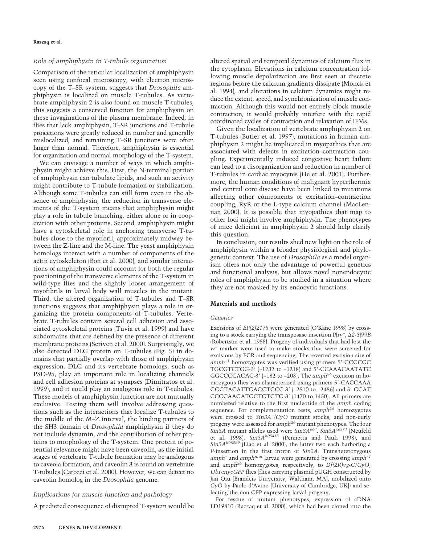### *Role of amphiphysin in T-tubule organization*

Comparison of the reticular localization of amphiphysin seen using confocal microscopy, with electron microscopy of the T–SR system, suggests that *Drosophila* amphiphysin is localized on muscle T-tubules. As vertebrate amphiphysin 2 is also found on muscle T-tubules, this suggests a conserved function for amphiphysin on these invaginations of the plasma membrane. Indeed, in flies that lack amphiphysin, T–SR junctions and T-tubule projections were greatly reduced in number and generally mislocalized, and remaining T–SR junctions were often larger than normal. Therefore, amphiphysin is essential for organization and normal morphology of the T-system.

We can envisage a number of ways in which amphiphysin might achieve this. First, the N-terminal portion of amphiphysin can tubulate lipids, and such an activity might contribute to T-tubule formation or stabilization. Although some T-tubules can still form even in the absence of amphiphysin, the reduction in transverse elements of the T-system means that amphiphysin might play a role in tubule branching, either alone or in cooperation with other proteins. Second, amphiphysin might have a cytoskeletal role in anchoring transverse T-tubules close to the myofibril, approximately midway between the Z-line and the M-line. The yeast amphiphysin homologs interact with a number of components of the actin cytoskeleton (Bon et al. 2000), and similar interactions of amphiphysin could account for both the regular positioning of the transverse elements of the T-system in wild-type flies and the slightly looser arrangement of myofibrils in larval body wall muscles in the mutant. Third, the altered organization of T-tubules and T–SR junctions suggests that amphiphysin plays a role in organizing the protein components of T-tubules. Vertebrate T-tubules contain several cell adhesion and associated cytoskeletal proteins (Tuvia et al. 1999) and have subdomains that are defined by the presence of different membrane proteins (Scriven et al. 2000). Surprisingly, we also detected DLG protein on T-tubules (Fig. 5) in domains that partially overlap with those of amphiphysin expression. DLG and its vertebrate homologs, such as PSD-95, play an important role in localizing channels and cell adhesion proteins at synapses (Dimitratos et al. 1999), and it could play an analogous role in T-tubules. These models of amphiphysin function are not mutually exclusive. Testing them will involve addressing questions such as the interactions that localize T-tubules to the middle of the M–Z interval, the binding partners of the SH3 domain of *Drosophila* amphiphysin if they do not include dynamin, and the contribution of other proteins to morphology of the T-system. One protein of potential relevance might have been caveolin, as the initial stages of vertebrate T-tubule formation may be analogous to caveola formation, and caveolin 3 is found on vertebrate T-tubules (Carozzi et al. 2000). However, we can detect no caveolin homolog in the *Drosophila* genome.

## *Implications for muscle function and pathology*

A predicted consequence of disrupted T-system would be

altered spatial and temporal dynamics of calcium flux in the cytoplasm. Elevations in calcium concentration following muscle depolarization are first seen at discrete regions before the calcium gradients dissipate (Monck et al. 1994), and alterations in calcium dynamics might reduce the extent, speed, and synchronization of muscle contraction. Although this would not entirely block muscle contraction, it would probably interfere with the rapid coordinated cycles of contraction and relaxation of IFMs.

Given the localization of vertebrate amphiphysin 2 on T-tubules (Butler et al. 1997), mutations in human amphiphysin 2 might be implicated in myopathies that are associated with defects in excitation–contraction coupling. Experimentally induced congestive heart failure can lead to a disorganization and reduction in number of T-tubules in cardiac myocytes (He et al. 2001). Furthermore, the human conditions of malignant hyperthermia and central core disease have been linked to mutations affecting other components of excitation–contraction coupling, RyR or the L-type calcium channel (MacLennan 2000). It is possible that myopathies that map to other loci might involve amphiphysin. The phenotypes of mice deficient in amphiphysin 2 should help clarify this question.

In conclusion, our results shed new light on the role of amphiphysin within a broader physiological and phylogenetic context. The use of *Drosophila* as a model organism offers not only the advantage of powerful genetics and functional analysis, but allows novel nonendocytic roles of amphiphysin to be studied in a situation where they are not masked by its endocytic functions.

#### **Materials and methods**

#### *Genetics*

Excisions of *EP(2)2175* were generated (O'Kane 1998) by crossing to a stock carrying the transposase insertion  $P[ry^+, \Delta 2-3]99B$ (Robertson et al. 1988). Progeny of individuals that had lost the *w*<sup>+</sup> marker were used to make stocks that were screened for excisions by PCR and sequencing. The reverted excision site of *amph<sup>+1</sup>* homozygotes was verified using primers 5'-GCGCGC TGCGTCTGG-3 (−1232 to −1218) and 5-CCAAACAATATC GGCCCCACAC-3 (−182 to −203). The *amph<sup>26</sup>* excision in homozygous flies was characterized using primers 5-CACCAAA GGGTACATTGAGCTGCC-3' (-2510 to -2486) and 5'-GCAT CCGCAAGATGCTGTGTG-3 (1470 to 1450). All primers are numbered relative to the first nucleotide of the *amph* coding sequence. For complementation tests, *amph<sup>26</sup>* homozygotes were crossed to *Sin3A*<sup>−</sup> */CyO* mutant stocks, and non-curly progeny were assessed for *amph<sup>26</sup>* mutant phenotypes. The four *Sin3A* mutant alleles used were *Sin3Ae64*, *Sin3Axe374* (Neufeld et al. 1998), *Sin3Ak05415* (Pennetta and Pauli 1998), and *Sin3Ak08269* (Liao et al. 2000), the latter two each harboring a *P*-insertion in the first intron of *Sin3A*. Transheterozygous *amph*<sup>+</sup> and *amphmut* larvae were generated by crossing *amph+1* and *amph<sup>26</sup>* homozygotes, respectively, to *Df(2R)vg-C/CyO*, *Ubi-mycGFP* flies (flies carrying plasmid pUGH constructed by Jan Qiu [Brandeis University, Waltham, MA], mobilized onto *CyO* by Paolo d'Avino [University of Cambridge, UK]) and selecting the non-GFP-expressing larval progeny.

For rescue of mutant phenotypes, expression of cDNA LD19810 (Razzaq et al. 2000), which had been cloned into the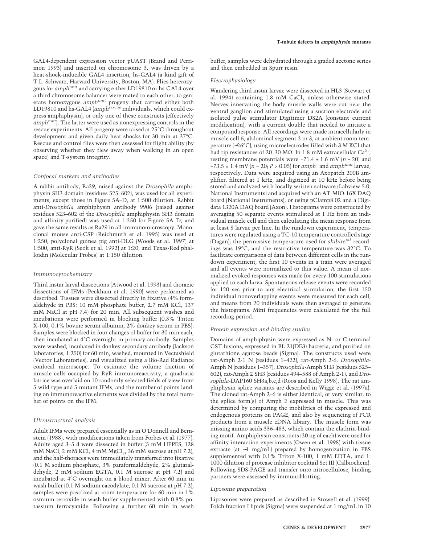GAL4-dependent expression vector pUAST (Brand and Perrimon 1993) and inserted on chromosome 3, was driven by a heat-shock-inducible GAL4 insertion, hs-GAL4 (a kind gift of T.L. Schwarz, Harvard University, Boston, MA). Flies heterozygous for *amphmut* and carrying either LD19810 or hs-GAL4 over a third chromosome balancer were mated to each other, to generate homozygous *amphmut* progeny that carried either both LD19810 and hs-GAL4 (*amphrescue* individuals, which could express amphiphysin), or only one of these constructs (effectively *amphmut*). The latter were used as nonexpressing controls in the rescue experiments. All progeny were raised at 25°C throughout development and given daily heat shocks for 30 min at 37°C. Rescue and control flies were then assessed for flight ability (by observing whether they flew away when walking in an open space) and T-system integrity.

#### *Confocal markers and antibodies*

A rabbit antibody, Ra29, raised against the *Drosophila* amphiphysin SH3 domain (residues 525–602), was used for all experiments, except those in Figure 5A–D, at 1:500 dilution. Rabbit anti-*Drosophila* amphiphysin antibody 9906 (raised against residues 523–602 of the *Drosophila* amphiphysin SH3 domain and affinity-purified) was used at 1:250 for Figure 5A–D, and gave the same results as Ra29 in all immunomicroscopy. Monoclonal mouse anti-CSP (Reichmuth et al. 1995) was used at 1:250, polyclonal guinea pig anti-DLG (Woods et al. 1997) at 1:500, anti-RyR (Seok et al. 1992) at 1:20, and Texas-Red phalloidin (Molecular Probes) at 1:150 dilution.

#### *Immunocytochemistry*

Third instar larval dissections (Atwood et al. 1993) and thoracic dissections of IFMs (Peckham et al. 1990) were performed as described. Tissues were dissected directly in fixative (4% formaldehyde in PBS: 10 mM phosphate buffer, 2.7 mM KCl, 137 mM NaCl at pH 7.4) for 20 min. All subsequent washes and incubations were performed in blocking buffer (0.3% Triton X-100, 0.1% bovine serum albumin, 2% donkey serum in PBS). Samples were blocked in four changes of buffer for 30 min each, then incubated at 4°C overnight in primary antibody. Samples were washed, incubated in donkey secondary antibody (Jackson laboratories, 1:250) for 60 min, washed, mounted in Vectashield (Vector Laboratories), and visualized using a Bio-Rad Radiance confocal microscope. To estimate the volume fraction of muscle cells occupied by RyR immunoreactivity, a quadratic lattice was overlaid on 10 randomly selected fields of view from 5 wild-type and 5 mutant IFMs, and the number of points landing on immunoreactive elements was divided by the total number of points on the IFM.

#### *Ultrastructural analysis*

Adult IFMs were prepared essentially as in O'Donnell and Bernstein (1988), with modifications taken from Forbes et al. (1977). Adults aged 3–5 d were dissected in buffer (5 mM HEPES, 128 mM NaCl,  $2 \text{ mM KCl}$ ,  $4 \text{ mM MgCl}_2$ ,  $36 \text{ mM sucrose}$  at pH 7.2), and the half-thoraces were immediately transferred into fixative (0.1 M sodium phosphate, 3% paraformaldehyde, 2% glutaraldehyde, 2 mM sodium EGTA, 0.1 M sucrose at pH 7.2) and incubated at 4°C overnight on a blood mixer. After 60 min in wash buffer (0.1 M sodium cacodylate, 0.1 M sucrose at pH 7.2), samples were postfixed at room temperature for 60 min in 1% osmium tetroxide in wash buffer supplemented with 0.8% potassium ferrocyanide. Following a further 60 min in wash buffer, samples were dehydrated through a graded acetone series and then embedded in Spurr resin.

#### *Electrophysiology*

Wandering third instar larvae were dissected in HL3 (Stewart et al. 1994) containing  $1.8 \text{ mM } CaCl<sub>2</sub>$  unless otherwise stated. Nerves innervating the body muscle walls were cut near the ventral ganglion and stimulated using a suction electrode and isolated pulse stimulator Digitimer DS2A (constant current modification), with a current double that needed to initiate a compound response. All recordings were made intracellularly in muscle cell 6, abdominal segment 2 or 3, at ambient room temperature (∼26°C), using microelectrodes filled with 3 M KCl that had tip resistances of 20–30 M $\Omega$ . In 1.8 mM extracellular Ca<sup>2+</sup> resting membrane potentials were −71.4 ± 1.6 mV (*n* = 20) and −73.5 ± 1.4 mV (*n* = 20; *P* > 0.05) for *amph*<sup>+</sup> and *amphmut* larvae, respectively. Data were acquired using an Axopatch 200B amplifier, filtered at 1 kHz, and digitized at 10 kHz before being stored and analyzed with locally written software (Labview 5.0, National Instruments) and acquired with an AT-MIO-16X DAQ board (National Instruments), or using pClamp8.02 and a Digidata 1320A DAQ board (Axon). Histograms were constructed by averaging 50 separate events stimulated at 1 Hz from an individual muscle cell and then calculating the mean response from at least 8 larvae per line. In the rundown experiment, temperatures were regulated using a TC-10 temperature controlled stage (Dagan); the permissive temperature used for *shibirets1* recordings was 19°C, and the restrictive temperature was 32°C. To facilitate comparisons of data between different cells in the rundown experiment, the first 10 events in a train were averaged and all events were normalized to this value. A mean of normalized evoked responses was made for every 100 stimulations applied to each larva. Spontaneous release events were recorded for 120 sec prior to any electrical stimulation, the first 150 individual nonoverlapping events were measured for each cell, and means from 20 individuals were then averaged to generate the histograms. Mini frequencies were calculated for the full recording period.

#### *Protein expression and binding studies*

Domains of amphiphysin were expressed as N- or C-terminal GST fusions, expressed in BL-21(DE3) bacteria, and purified on glutathione agarose beads (Sigma). The constructs used were rat-Amph 2-1 N (residues 1–422), rat-Amph 2-6, *Drosophila*-Amph N (residues 1–357), *Drosophila*-Amph SH3 (residues 525– 602), rat-Amph 2 SH3 (residues 494–588 of Amph 2-1), and *Drosophila*-DAP160 SH3a,b,c,d (Roos and Kelly 1998). The rat amphiphysin splice variants are described in Wigge et al. (1997a). The cloned rat-Amph 2–6 is either identical, or very similar, to the splice form(s) of Amph 2 expressed in muscle. This was determined by comparing the mobilities of the expressed and endogenous proteins on PAGE, and also by sequencing of PCR products from a muscle cDNA library. The muscle form was missing amino acids 336–483, which contain the clathrin-binding motif. Amphiphysin constructs (20 µg of each) were used for affinity interaction experiments (Owen et al. 1998) with tissue extracts (at ∼1 mg/mL) prepared by homogenization in PBS supplemented with 0.1% Triton X-100, 1 mM EDTA, and 1: 1000 dilution of protease inhibitor cocktail Set III (Calbiochem). Following SDS-PAGE and transfer onto nitrocellulose, binding partners were assessed by immunoblotting.

#### *Liposome preparation*

Liposomes were prepared as described in Stowell et al. (1999). Folch fraction I lipids (Sigma) were suspended at 1 mg/mL in 10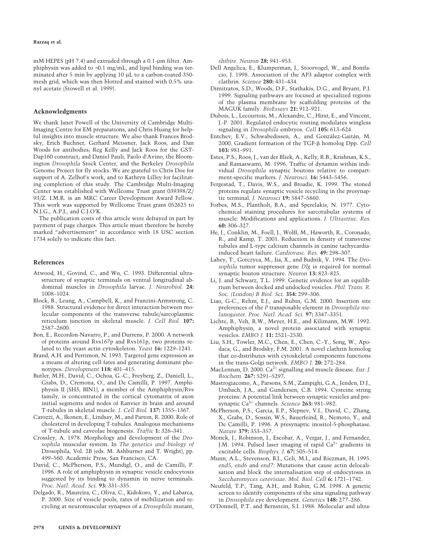mM HEPES (pH 7.4) and extruded through a 0.1-um filter. Amphiphysin was added to ∼0.1 mg/mL, and lipid binding was terminated after 5 min by applying 10 µL to a carbon-coated 350 mesh grid, which was then blotted and stained with 0.5% uranyl acetate (Stowell et al. 1999).

#### **Acknowledgments**

We thank Janet Powell of the University of Cambridge Multi-Imaging Centre for EM preparations, and Chris Huang for helpful insights into muscle structure. We also thank Frances Brodsky, Erich Buchner, Gerhard Meissner, Jack Roos, and Dan Woods for antibodies; Reg Kelly and Jack Roos for the GST-Dap160 construct; and Daniel Pauli, Paolo d'Avino, the Bloomington *Drosophila* Stock Center, and the Berkeley *Drosophila* Genome Project for fly stocks. We are grateful to Chris Doe for support of A. Zelhof's work, and to Kathryn Lilley for facilitating completion of this study. The Cambridge Multi-Imaging Center was established with Wellcome Trust grant 039398/Z/ 93/Z. I.M.R. is an MRC Career Development Award Fellow. This work was supported by Wellcome Trust grant 052625 to N.J.G., A.P.J., and C.J.O'K.

The publication costs of this article were defrayed in part by payment of page charges. This article must therefore be hereby marked "advertisement" in accordance with 18 USC section 1734 solely to indicate this fact.

#### **References**

- Atwood, H., Govind, C., and Wu, C. 1993. Differential ultrastructure of synaptic terminals on ventral longitudinal abdominal muscles in *Drosophila* larvae. *J. Neurobiol.* **24:** 1008–1024.
- Block, B., Leung, A., Campbell, K., and Franzini-Armstrong, C. 1988. Structural evidence for direct interaction between molecular components of the transverse tubule/sarcoplasmic reticulum junction in skeletal muscle. *J. Cell Biol.* **107:** 2587–2600.
- Bon, E., Recordon-Navarro, P., and Durrens, P. 2000. A network of proteins around Rvs167p and Rvs161p, two proteins related to the yeast actin cytoskeleton. *Yeast* **16:** 1229–1241.
- Brand, A.H. and Perrimon, N. 1993. Targeted gene expression as a means of altering cell fates and generating dominant phenotypes. *Development* **118:** 401–415.
- Butler, M.H., David, C., Ochoa, G.-C., Freyberg, Z., Daniell, L., Grabs, D., Cremona, O., and De Camilli, P. 1997. Amphiphysin II (SH3; BIN1), a member of the Amphiphysin/Rvs family, is concentrated in the cortical cytomatrix of axon initial segments and nodes of Ranvier in brain and around T-tubules in skeletal muscle. *J. Cell Biol.* **137:** 1355–1367.
- Carozzi, A., Ikonen, E., Lindsay, M., and Parton, R. 2000. Role of cholesterol in developing T-tubules. Analogous mechanisms of T-tubule and caveolae biogenesis. *Traffic* **1:** 326–341.
- Crossley, A. 1978. Morphology and development of the *Drosophila* muscular system. In *The genetics and biology of* Drosophila, Vol. 2B (eds. M. Ashburner and T. Wright), pp. 499–560. Academic Press, San Francisco, CA.
- David, C., McPherson, P.S., Mundigl, O., and de Camilli, P. 1996. A role of amphiphysin in synaptic vesicle endocytosis suggested by its binding to dynamin in nerve terminals. *Proc. Natl. Acad. Sci.* **93:** 331–335.
- Delgado, R., Maureira, C., Oliva, C., Kidokoro, Y., and Labarca, P. 2000. Size of vesicle pools, rates of mobilization and recycling at neuromuscular synapses of a *Drosophila* mutant,

*shibire*. *Neuron* **28:** 941–953.

- Dell Angelica, E., Klumperman, J., Stoorvogel, W., and Bonifacio, J. 1998. Association of the AP3 adaptor complex with clathrin. *Science* **280:** 431–434.
- Dimitratos, S.D., Woods, D.F., Stathakis, D.G., and Bryant, P.J. 1999. Signaling pathways are focused at specialized regions of the plasma membrane by scaffolding proteins of the MAGUK family. *BioEssays* **21:** 912–921.
- Dubois, L., Lecourtois, M., Alexandre, C., Hirst, E., and Vincent, J.-P. 2001. Regulated endocytic routing modulates wingless signaling in *Drosophila* embryos. *Cell* **105:** 613–624.
- Entchev, E.V., Schwabedissen, A., and González-Gaitán, M. 2000. Gradient formation of the TGF- $\beta$  homolog Dpp. *Cell* **103:** 981–991.
- Estes, P.S., Roos, J., van der Bliek, A., Kelly, R.B., Krishnan, K.S., and Ramaswami, M. 1996. Traffic of dynamin within individual *Drosophila* synaptic boutons relative to compartment-specific markers. *J. Neurosci.* **16:** 5443–5456.
- Fergestad, T., Davis, W.S., and Broadie, K. 1999. The stoned proteins regulate synaptic vesicle recycling in the presynaptic terminal. *J. Neurosci* **19:** 5847–5860.
- Forbes, M.S., Plantholt, B.A., and Sperelakis, N. 1977. Cytochemical staining procedures for sarcotubular systems of muscle: Modifications and applications. *J. Ultrastruc. Res.* **60:** 306–327.
- He, J., Conklin, M., Foell, J., Wolff, M., Haworth, R., Coronado, R., and Kamp, T. 2001. Reduction in density of transverse tubules and L-type calcium channels in canine tachycardiainduced heart failure. *Cardiovasc. Res.* **49:** 298–307.
- Lahey, T., Gorczyca, M., Jia, X., and Budnik, V. 1994. The *Drosophila* tumor suppressor gene *Dlg* is required for normal synaptic bouton structure. *Neuron* **13:** 823–825.
- Li, J. and Schwarz, T.L. 1999. Genetic evidence for an equilibrium between docked and undocked vesicles. *Phil. Trans. R. Soc. (London) B Biol. Sci.* **354:** 299–306.
- Liao, G-C., Rehm, E.J., and Rubin, G.M. 2000. Insertion site preferences of the *P* transposable element in *Drosophila melanogaster*. *Proc. Natl. Acad. Sci.* **97:** 3347–3351.
- Lichte, B., Veh, R.W., Meyer, H.E., and Kilimann, M.W. 1992. Amphiphysin, a novel protein associated with synaptic vesicles. *EMBO J.* **11:** 2521–2530.
- Liu, S.H., Towler, M.C., Chen, E., Chen, C.-Y., Song, W., Apodaca, G., and Brodsky, F.M. 2001. A novel clathrin homolog that co-distributes with cytoskeletal components functions in the trans-Golgi network. *EMBO J.* **20:** 272–284.
- MacLennan, D. 2000. Ca<sup>2+</sup> signalling and muscle disease. *Eur.* J. *Biochem.* **267:** 5291–5297.
- Mastrogiacomo, A., Parsons, S.M., Zampighi, G.A., Jenden, D.J., Umbach, J.A., and Gundersen, C.B. 1994. Cysteine string proteins: A potential link between synaptic vesicles and presynaptic Ca2+ channels. *Science* **263:** 981–982.
- McPherson, P.S., Garcia, E.P., Slepnev, V.I., David, C., Zhang, X., Grabs, D., Sossin, W.S., Bauerfeind, R., Nemoto, Y., and De Camilli, P. 1996. A presynaptic inositol-5-phosphatase. *Nature* **379:** 353–357.
- Monck, J., Robinson, I., Escobar, A., Vergar, J., and Fernandez, J.M. 1994. Pulsed laser imaging of rapid  $Ca^{2+}$  gradients in excitable cells. *Biophys. J.* **67:** 505–514.
- Munn, A.L., Stevenson, B.J., Geli, M.I., and Riezman, H. 1995. *end5*, *end6* and *end7*: Mutations that cause actin delocalisation and block the internalisation step of endocytosis in *Saccharomyces cerevisiae*. *Mol. Biol. Cell* **6:** 1721–1742.
- Neufeld, T.P., Tang, A.H., and Rubin, G.M. 1998. A genetic screen to identify components of the sina signaling pathway in *Drosophila* eye development. *Genetics* **148:** 277–286.
- O'Donnell, P.T. and Bernstein, S.I. 1988. Molecular and ultra-